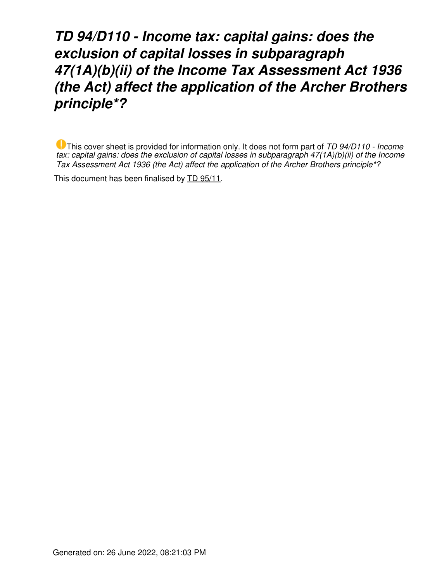*TD 94/D110 - Income tax: capital gains: does the exclusion of capital losses in subparagraph 47(1A)(b)(ii) of the Income Tax Assessment Act 1936 (the Act) affect the application of the Archer Brothers principle\*?*

This cover sheet is provided for information only. It does not form part of *TD 94/D110 - Income tax: capital gains: does the exclusion of capital losses in subparagraph 47(1A)(b)(ii) of the Income Tax Assessment Act 1936 (the Act) affect the application of the Archer Brothers principle\*?*

This document has been finalised by [TD 95/11](https://www.ato.gov.au/law/view/document?LocID=%22TXD%2FTD9511%2FNAT%2FATO%22&PiT=19950420000001).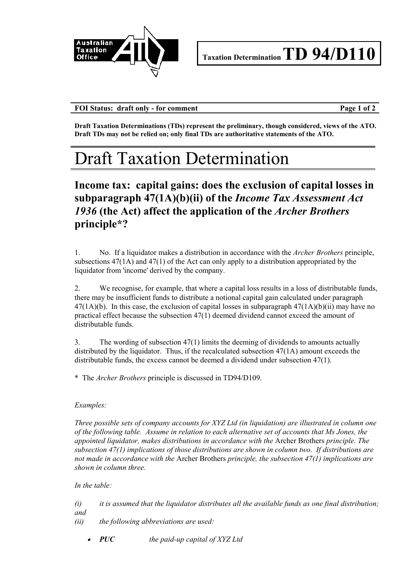

**FOI Status: draft only - for comment Page 1 of 2**

**Draft Taxation Determinations (TDs) represent the preliminary, though considered, views of the ATO. Draft TDs may not be relied on; only final TDs are authoritative statements of the ATO.** 

# Draft Taxation Determination

## **Income tax: capital gains: does the exclusion of capital losses in subparagraph 47(1A)(b)(ii) of the** *Income Tax Assessment Act 1936* **(the Act) affect the application of the** *Archer Brothers* **principle\*?**

1. No. If a liquidator makes a distribution in accordance with the *Archer Brothers* principle, subsections 47(1A) and 47(1) of the Act can only apply to a distribution appropriated by the liquidator from 'income' derived by the company.

2. We recognise, for example, that where a capital loss results in a loss of distributable funds, there may be insufficient funds to distribute a notional capital gain calculated under paragraph  $47(1A)(b)$ . In this case, the exclusion of capital losses in subparagraph  $47(1A)(b)(ii)$  may have no practical effect because the subsection 47(1) deemed dividend cannot exceed the amount of distributable funds.

3. The wording of subsection 47(1) limits the deeming of dividends to amounts actually distributed by the liquidator. Thus, if the recalculated subsection 47(1A) amount exceeds the distributable funds, the excess cannot be deemed a dividend under subsection 47(1).

\* The *Archer Brothers* principle is discussed in TD94/D109.

### *Examples:*

*Three possible sets of company accounts for XYZ Ltd (in liquidation) are illustrated in column one of the following table. Assume in relation to each alternative set of accounts that Ms Jones, the appointed liquidator, makes distributions in accordance with the* Archer Brothers *principle. The subsection 47(1) implications of those distributions are shown in column two. If distributions are not made in accordance with the* Archer Brothers *principle, the subsection 47(1) implications are shown in column three.*

### *In the table:*

- *(i) it is assumed that the liquidator distributes all the available funds as one final distribution; and*
- *(ii) the following abbreviations are used:*
	- *PUC the paid-up capital of XYZ Ltd*